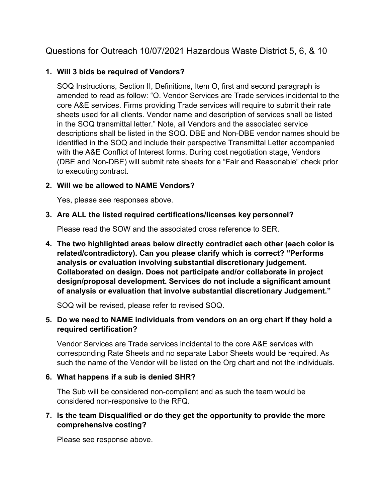# Questions for Outreach 10/07/2021 Hazardous Waste District 5, 6, & 10

### **1. Will 3 bids be required of Vendors?**

SOQ Instructions, Section II, Definitions, Item O, first and second paragraph is amended to read as follow: "O. Vendor Services are Trade services incidental to the core A&E services. Firms providing Trade services will require to submit their rate sheets used for all clients. Vendor name and description of services shall be listed in the SOQ transmittal letter." Note, all Vendors and the associated service descriptions shall be listed in the SOQ. DBE and Non-DBE vendor names should be identified in the SOQ and include their perspective Transmittal Letter accompanied with the A&E Conflict of Interest forms. During cost negotiation stage, Vendors (DBE and Non-DBE) will submit rate sheets for a "Fair and Reasonable" check prior to executing contract.

### **2. Will we be allowed to NAME Vendors?**

Yes, please see responses above.

#### **3. Are ALL the listed required certifications/licenses key personnel?**

Please read the SOW and the associated cross reference to SER.

**4. The two highlighted areas below directly contradict each other (each color is related/contradictory). Can you please clarify which is correct? "Performs analysis or evaluation involving substantial discretionary judgement. Collaborated on design. Does not participate and/or collaborate in project design/proposal development. Services do not include a significant amount of analysis or evaluation that involve substantial discretionary Judgement."**

SOQ will be revised, please refer to revised SOQ.

### **5. Do we need to NAME individuals from vendors on an org chart if they hold a required certification?**

Vendor Services are Trade services incidental to the core A&E services with corresponding Rate Sheets and no separate Labor Sheets would be required. As such the name of the Vendor will be listed on the Org chart and not the individuals.

#### **6. What happens if a sub is denied SHR?**

The Sub will be considered non-compliant and as such the team would be considered non-responsive to the RFQ.

### **7. Is the team Disqualified or do they get the opportunity to provide the more comprehensive costing?**

Please see response above.